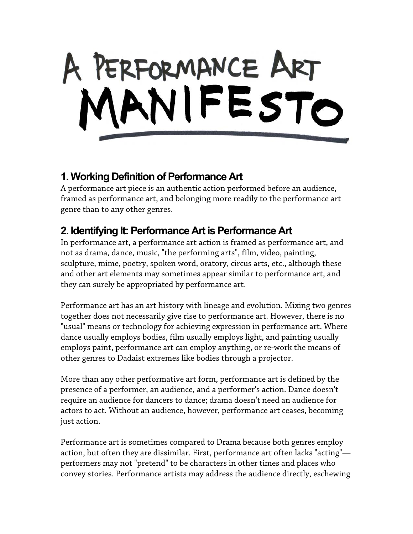

## **1. Working Definition of Performance Art**

A performance art piece is an authentic action performed before an audience, framed as performance art, and belonging more readily to the performance art genre than to any other genres.

## **2. Identifying It: Performance Art is Performance Art**

In performance art, a performance art action is framed as performance art, and not as drama, dance, music, "the performing arts", film, video, painting, sculpture, mime, poetry, spoken word, oratory, circus arts, etc., although these and other art elements may sometimes appear similar to performance art, and they can surely be appropriated by performance art.

Performance art has an art history with lineage and evolution. Mixing two genres together does not necessarily give rise to performance art. However, there is no "usual" means or technology for achieving expression in performance art. Where dance usually employs bodies, film usually employs light, and painting usually employs paint, performance art can employ anything, or re-work the means of other genres to Dadaist extremes like bodies through a projector.

More than any other performative art form, performance art is defined by the presence of a performer, an audience, and a performer's action. Dance doesn't require an audience for dancers to dance; drama doesn't need an audience for actors to act. Without an audience, however, performance art ceases, becoming just action.

Performance art is sometimes compared to Drama because both genres employ action, but often they are dissimilar. First, performance art often lacks "acting" performers may not "pretend" to be characters in other times and places who convey stories. Performance artists may address the audience directly, eschewing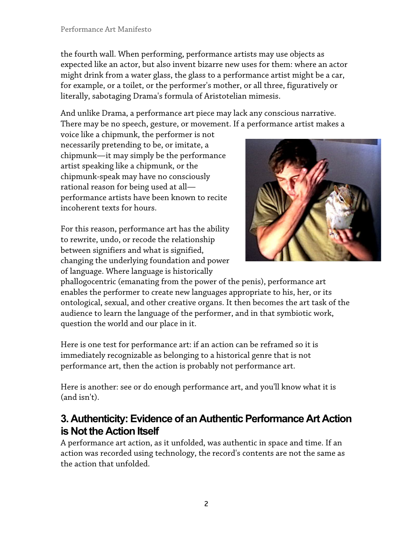the fourth wall. When performing, performance artists may use objects as expected like an actor, but also invent bizarre new uses for them: where an actor might drink from a water glass, the glass to a performance artist might be a car, for example, or a toilet, or the performer's mother, or all three, figuratively or literally, sabotaging Drama's formula of Aristotelian mimesis.

And unlike Drama, a performance art piece may lack any conscious narrative. There may be no speech, gesture, or movement. If a performance artist makes a

voice like a chipmunk, the performer is not necessarily pretending to be, or imitate, a chipmunk—it may simply be the performance artist speaking like a chipmunk, or the chipmunk-speak may have no consciously rational reason for being used at all performance artists have been known to recite incoherent texts for hours.

For this reason, performance art has the ability to rewrite, undo, or recode the relationship between signifiers and what is signified, changing the underlying foundation and power of language. Where language is historically



phallogocentric (emanating from the power of the penis), performance art enables the performer to create new languages appropriate to his, her, or its ontological, sexual, and other creative organs. It then becomes the art task of the audience to learn the language of the performer, and in that symbiotic work, question the world and our place in it.

Here is one test for performance art: if an action can be reframed so it is immediately recognizable as belonging to a historical genre that is not performance art, then the action is probably not performance art.

Here is another: see or do enough performance art, and you'll know what it is (and isn't).

## **3. Authenticity: Evidence of an Authentic Performance Art Action is Not the Action Itself**

A performance art action, as it unfolded, was authentic in space and time. If an action was recorded using technology, the record's contents are not the same as the action that unfolded.